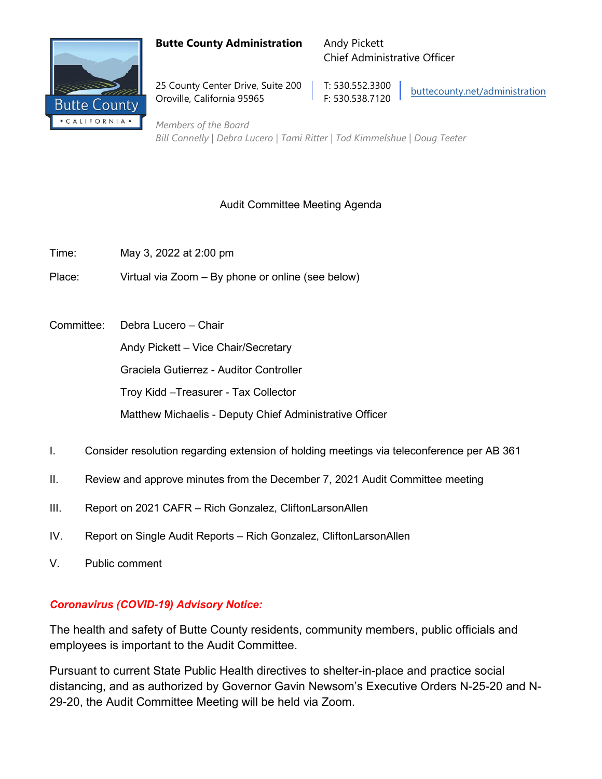### **Butte County Administration** Andy Pickett



25 County Center Drive, Suite 200 | T: 530.552.3300 Oroville, California 95965 F: 530.538.7120

Chief Administrative Officer

[buttecounty.net/administration](http://www.buttecounty.net/administration/Home.aspx)

*Members of the Board Bill Connelly | Debra Lucero | Tami Ritter | Tod Kimmelshue | Doug Teeter*

# Audit Committee Meeting Agenda

- Time: May 3, 2022 at 2:00 pm
- Place: Virtual via Zoom By phone or online (see below)
- Committee: Debra Lucero Chair

Andy Pickett – Vice Chair/Secretary

Graciela Gutierrez - Auditor Controller

Troy Kidd –Treasurer - Tax Collector

Matthew Michaelis - Deputy Chief Administrative Officer

- I. Consider resolution regarding extension of holding meetings via teleconference per AB 361
- II. Review and approve minutes from the December 7, 2021 Audit Committee meeting
- III. Report on 2021 CAFR Rich Gonzalez, CliftonLarsonAllen
- IV. Report on Single Audit Reports Rich Gonzalez, CliftonLarsonAllen
- V. Public comment

# *Coronavirus (COVID-19) Advisory Notice:*

The health and safety of Butte County residents, community members, public officials and employees is important to the Audit Committee.

Pursuant to current State Public Health directives to shelter-in-place and practice social distancing, and as authorized by Governor Gavin Newsom's Executive Orders N-25-20 and N-29-20, the Audit Committee Meeting will be held via Zoom.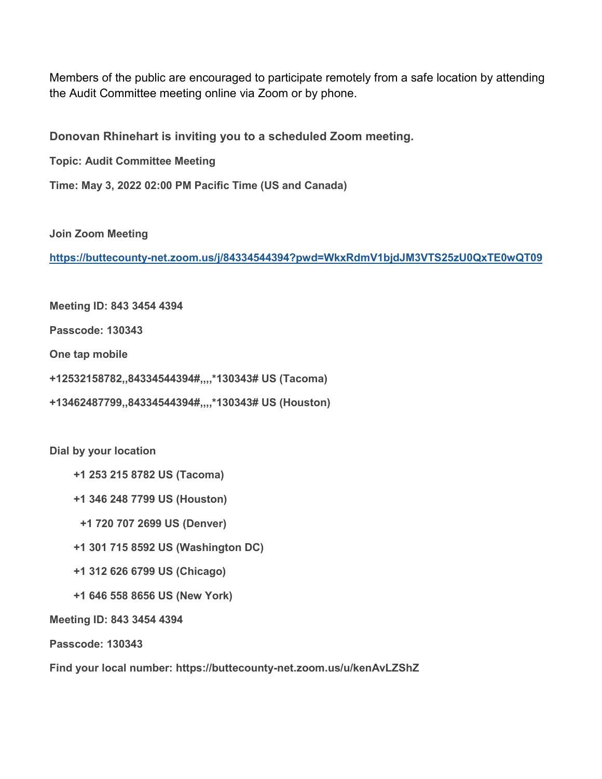Members of the public are encouraged to participate remotely from a safe location by attending the Audit Committee meeting online via Zoom or by phone.

**Donovan Rhinehart is inviting you to a scheduled Zoom meeting.**

**Topic: Audit Committee Meeting**

**Time: May 3, 2022 02:00 PM Pacific Time (US and Canada)**

**Join Zoom Meeting**

**<https://buttecounty-net.zoom.us/j/84334544394?pwd=WkxRdmV1bjdJM3VTS25zU0QxTE0wQT09>**

**Meeting ID: 843 3454 4394**

**Passcode: 130343**

**One tap mobile**

**+12532158782,,84334544394#,,,,\*130343# US (Tacoma)**

**+13462487799,,84334544394#,,,,\*130343# US (Houston)**

**Dial by your location**

 **+1 253 215 8782 US (Tacoma)**

 **+1 346 248 7799 US (Houston)**

 **+1 720 707 2699 US (Denver)**

 **+1 301 715 8592 US (Washington DC)**

 **+1 312 626 6799 US (Chicago)**

 **+1 646 558 8656 US (New York)**

**Meeting ID: 843 3454 4394**

**Passcode: 130343**

**Find your local number: https://buttecounty-net.zoom.us/u/kenAvLZShZ**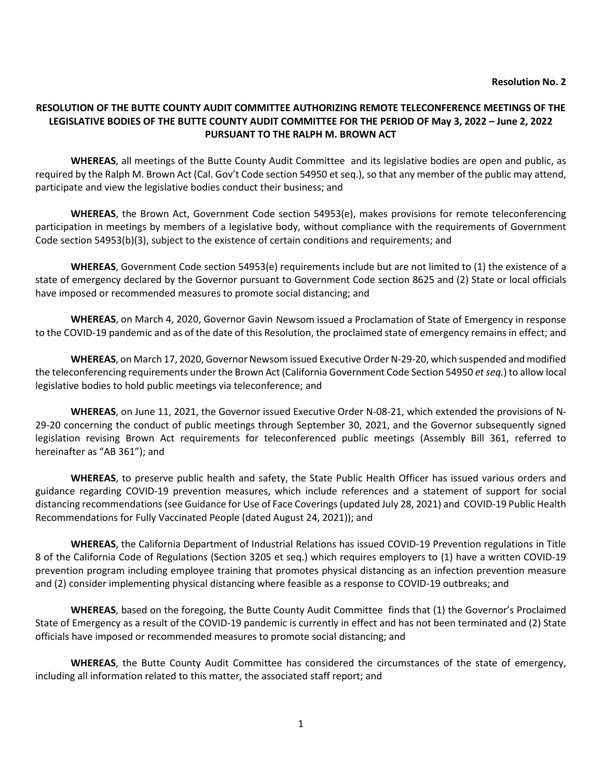#### **RESOLUTION OF THE BUTTE COUNTY AUDIT COMMITTEE AUTHORIZING REMOTE TELECONFERENCE MEETINGS OF THE LEGISLATIVE BODIES OF THE BUTTE COUNTY AUDIT COMMITTEE FOR THE PERIOD OF May 3, 2022 – June 2, 2022 PURSUANT TO THE RALPH M. BROWN ACT**

**WHEREAS**, all meetings of the Butte County Audit Committee and its legislative bodies are open and public, as required by the Ralph M. Brown Act (Cal. Gov't Code section 54950 et seq.), so that any member of the public may attend, participate and view the legislative bodies conduct their business; and

**WHEREAS**, the Brown Act, Government Code section 54953(e), makes provisions for remote teleconferencing participation in meetings by members of a legislative body, without compliance with the requirements of Government Code section 54953(b)(3), subject to the existence of certain conditions and requirements; and

**WHEREAS**, Government Code section 54953(e) requirements include but are not limited to (1) the existence of a state of emergency declared by the Governor pursuant to Government Code section 8625 and (2) State or local officials have imposed or recommended measures to promote social distancing; and

**WHEREAS**, on March 4, 2020, Governor Gavin Newsom issued a Proclamation of State of Emergency in response to the COVID-19 pandemic and as of the date of this Resolution, the proclaimed state of emergency remains in effect; and

**WHEREAS**, on March 17, 2020, Governor Newsom issued Executive Order N-29-20, which suspended and modified the teleconferencing requirements under the Brown Act (California Government Code Section 54950 *et seq.*) to allow local legislative bodies to hold public meetings via teleconference; and

**WHEREAS**, on June 11, 2021, the Governor issued Executive Order N-08-21, which extended the provisions of N-29-20 concerning the conduct of public meetings through September 30, 2021, and the Governor subsequently signed legislation revising Brown Act requirements for teleconferenced public meetings (Assembly Bill 361, referred to hereinafter as "AB 361"); and

**WHEREAS**, to preserve public health and safety, the State Public Health Officer has issued various orders and guidance regarding COVID-19 prevention measures, which include references and a statement of support for social distancing recommendations (see Guidance for Use of Face Coverings (updated July 28, 2021) and COVID-19 Public Health Recommendations for Fully Vaccinated People (dated August 24, 2021)); and

**WHEREAS**, the California Department of Industrial Relations has issued COVID-19 Prevention regulations in Title 8 of the California Code of Regulations (Section 3205 et seq.) which requires employers to (1) have a written COVID-19 prevention program including employee training that promotes physical distancing as an infection prevention measure and (2) consider implementing physical distancing where feasible as a response to COVID-19 outbreaks; and

**WHEREAS**, based on the foregoing, the Butte County Audit Committee finds that (1) the Governor's Proclaimed State of Emergency as a result of the COVID-19 pandemic is currently in effect and has not been terminated and (2) State officials have imposed or recommended measures to promote social distancing; and

**WHEREAS**, the Butte County Audit Committee has considered the circumstances of the state of emergency, including all information related to this matter, the associated staff report; and